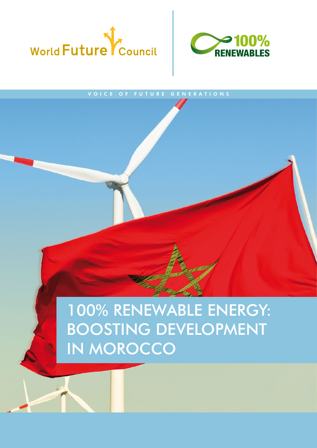



## VOICE OF FUTURE GENERATIONS

100% RENEWABLE ENERGY: BOOSTING DEVELOPMENT IN MOROCCO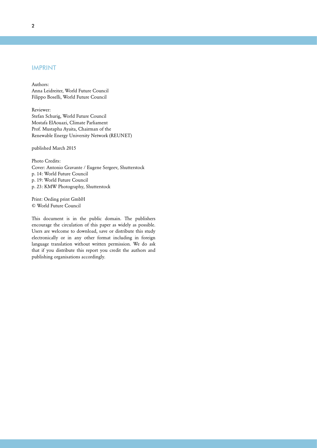## IMPRINT

Authors: Anna Leidreiter, World Future Council Filippo Boselli, World Future Council

Reviewer: Stefan Schurig, World Future Council Mostafa ElAouazi, Climate Parliament Prof. Mustapha Ayaita, Chairman of the Renewable Energy University Network (REUNET)

published March 2015

Photo Credits: Cover: Antonio Gravante / Eugene Sergeev, Shutterstock p. 14: World Future Council p. 19: World Future Council p. 23: KMW Photography, Shutterstock

Print: Oeding print GmbH © World Future Council

This document is in the public domain. The publishers encourage the circulation of this paper as widely as possible. Users are welcome to download, save or distribute this study electronically or in any other format including in foreign language translation without written permission. We do ask that if you distribute this report you credit the authors and publishing organisations accordingly.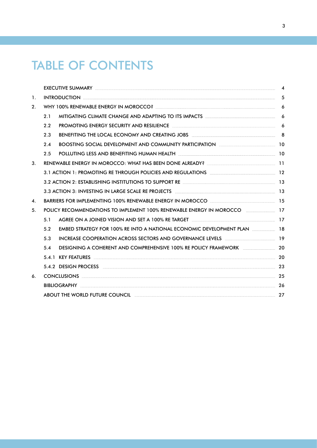# TABLE OF CONTENTS

|                    | EXECUTIVE SUMMARY Entertainment and the contract of the contract of the contract of the contract of the contract of the contract of the contract of the contract of the contract of the contract of the contract of the contra | $\overline{\mathbf{4}}$ |  |  |
|--------------------|--------------------------------------------------------------------------------------------------------------------------------------------------------------------------------------------------------------------------------|-------------------------|--|--|
| 1.                 |                                                                                                                                                                                                                                |                         |  |  |
| 2.                 |                                                                                                                                                                                                                                |                         |  |  |
|                    | 2.1                                                                                                                                                                                                                            |                         |  |  |
|                    | PROMOTING ENERGY SECURITY AND RESILIENCE <b>CONSIDERATION</b> CONTINUES: 6<br>2.2                                                                                                                                              |                         |  |  |
|                    | BENEFITING THE LOCAL ECONOMY AND CREATING JOBS <b>Entire the CONOCCITY CONTROL</b> 8<br>2.3                                                                                                                                    |                         |  |  |
|                    | 2.4                                                                                                                                                                                                                            |                         |  |  |
|                    | 2.5                                                                                                                                                                                                                            |                         |  |  |
| 3.                 |                                                                                                                                                                                                                                |                         |  |  |
|                    | 3.1 ACTION 1: PROMOTING RE THROUGH POLICIES AND REGULATIONS <b>EVALUATIONS</b> 12                                                                                                                                              |                         |  |  |
|                    | 3.2 ACTION 2: ESTABLISHING INSTITUTIONS TO SUPPORT RE <b>CONSIDERENT ASSAULT</b> 13                                                                                                                                            |                         |  |  |
|                    | 3.3 ACTION 3: INVESTING IN LARGE SCALE RE PROJECTS [199] THE REFORM SETTING AND RESIDENCE THE REPORT OF SALE R                                                                                                                 |                         |  |  |
| $\boldsymbol{4}$ . |                                                                                                                                                                                                                                |                         |  |  |
| 5.                 | POLICY RECOMMENDATIONS TO IMPLEMENT 100% RENEWABLE ENERGY IN MOROCCO <b>ECONOMENTION</b> 17                                                                                                                                    |                         |  |  |
|                    | AGREE ON A JOINED VISION AND SET A 100% RE TARGET [[[[[[[[[[[[[[[[[[]]]]]]]]]]]]<br>5.1                                                                                                                                        |                         |  |  |
|                    | EMBED STRATEGY FOR 100% RE INTO A NATIONAL ECONOMIC DEVELOPMENT PLAN  18<br>5.2                                                                                                                                                |                         |  |  |
|                    | INCREASE COOPERATION ACROSS SECTORS AND GOVERNANCE LEVELS <b>Examination and Execution</b> 19<br>5.3                                                                                                                           |                         |  |  |
|                    | 5.4                                                                                                                                                                                                                            |                         |  |  |
|                    |                                                                                                                                                                                                                                |                         |  |  |
|                    | 5.4.2 DESIGN PROCESS 23                                                                                                                                                                                                        |                         |  |  |
| 6.                 | CONCLUSIONS 25                                                                                                                                                                                                                 |                         |  |  |
|                    |                                                                                                                                                                                                                                |                         |  |  |
|                    | ABOUT THE WORLD FUTURE COUNCIL <b>Example 27</b> 27                                                                                                                                                                            |                         |  |  |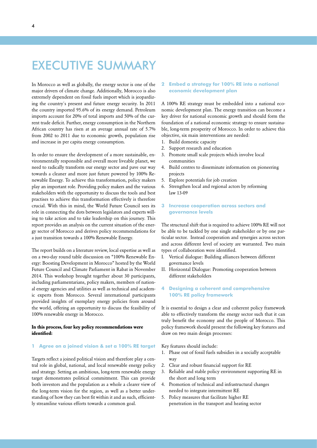# <span id="page-3-0"></span>EXECUTIVE SUMMARY

In Morocco as well as globally, the energy sector is one of the major drivers of climate change. Additionally, Morocco is also extremely dependent on fossil fuels import which is jeopardizing the country´s present and future energy security. In 2011 the country imported 95.6% of its energy demand. Petroleum imports account for 20% of total imports and 50% of the current trade deficit. Further, energy consumption in the Northern African country has risen at an average annual rate of 5.7% from 2002 to 2011 due to economic growth, population rise and increase in per capita energy consumption.

In order to ensure the development of a more sustainable, environmentally responsible and overall more liveable planet, we need to radically transform our energy sector and pave our way towards a cleaner and more just future powered by 100% Renewable Energy. To achieve this transformation, policy makers play an important role. Providing policy makers and the various stakeholders with the opportunity to discuss the tools and best practises to achieve this transformation effectively is therefore crucial. With this in mind, the World Future Council sees its role in connecting the dots between legislators and experts willing to take action and to take leadership on this journey. This report provides an analysis on the current situation of the energy sector of Morocco and derives policy recommendations for a just transition towards a 100% Renewable Energy.

The report builds on a literature review, local expertise as well as on a two-day round table discussion on "100% Renewable Energy: Boosting Development in Morocco" hosted by the World Future Council and Climate Parliament in Rabat in November 2014. This workshop brought together about 30 participants, including parliamentarians, policy makers, members of national energy agencies and utilities as well as technical and academic experts from Morocco. Several international participants provided insights of exemplary energy policies from around the world, offering an opportunity to discuss the feasibility of 100% renewable energy in Morocco.

## **In this process, four key policy recommendations were identified:**

## **1 Agree on a joined vision & set a 100% RE target**

Targets reflect a joined political vision and therefore play a central role in global, national, and local renewable energy policy and strategy. Setting an ambitious, long-term renewable energy target demonstrates political commitment. This can provide both investors and the population as a whole a clearer view of the long-term vision for the region, as well as a better understanding of how they can best fit within it and as such, efficiently streamline various efforts towards a common goal.

## **2 Embed a strategy for 100% RE into a national economic development plan**

A 100% RE strategy must be embedded into a national economic development plan. The energy transition can become a key driver for national economic growth and should form the foundation of a national economic strategy to ensure sustainable, long-term prosperity of Morocco. In order to achieve this objective, six main interventions are needed:

- 1. Build domestic capacity
- 2. Support research and education
- 3. Promote small scale projects which involve local communities
- 4. Build centres to disseminate information on pioneering projects
- 5. Explore potentials for job creation
- 6. Strengthen local and regional actors by reforming law 13-09

## **3 Increase cooperation across sectors and governance levels**

The structural shift that is required to achieve 100% RE will not be able to be tackled by one single stakeholder or by one particular sector. Instead cooperation and synergies across sectors and across different level of society are warranted. Two main types of collaboration were identified.

- I. Vertical dialogue: Building alliances between different governance levels
- II. Horizontal Dialogue: Promoting cooperation between different stakeholders

## **4 Designing a coherent and comprehensive 100% RE policy framework**

It is essential to design a clear and coherent policy framework able to effectively transform the energy sector such that it can truly benefit the economy and the people of Morocco. This policy framework should present the following key features and draw on two main design processes:

Key features should include:

- 1. Phase out of fossil fuels subsidies in a socially acceptable way
- 2. Clear and robust financial support for RE
- 3. Reliable and stable policy environment supporting RE in the short and long term
- 4. Promotion of technical and infrastructural changes needed to integrate intermittent RE
- 5. Policy measures that facilitate higher RE penetration in the transport and heating sector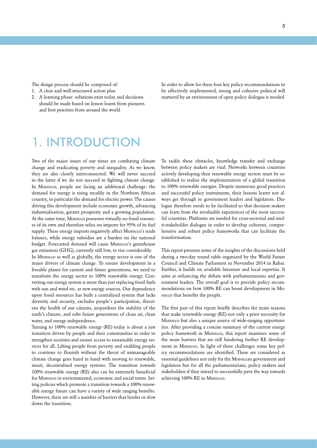<span id="page-4-0"></span>The design process should be comprised of:

- 1. A clear and well-structured action plan
- 2. A learning phase: solutions exist today and decisions should be made based on lesson learnt from pioneers and best practises from around the world

1. INTRODUCTION

Two of the major issues of our times are combating climate change and eradicating poverty and inequality. As we know, they are also closely interconnected. We will never succeed in the latter if we do not succeed in fighting climate change. In Morocco, people are facing an additional challenge: the demand for energy is rising steadily in the Northern African country, in particular the demand for electric power. The causes driving this development include economic growth, advancing industrialisation, greater prosperity and a growing population. At the same time, Morocco possesses virtually no fossil resources of its own and therefore relies on imports for 95% of its fuel supply. These energy imports negatively affect Morocco's trade balance, while energy subsidies are a burden on the national budget. Forecasted demand will cause Morocco's greenhouse gas emissions (GHG), currently still low, to rise considerably.

In Morocco as well as globally, the energy sector is one of the major drivers of climate change. To ensure development in a liveable planet for current and future generations, we need to transform the energy sector to 100% renewable energy. Converting our energy system is more than just replacing fossil fuels with sun and wind etc. as new energy sources. Our dependence upon fossil resources has built a centralized system that lacks diversity and security, excludes people´s participation, threatens the health of our citizens, jeopardizes the stability of the earth's climate, and robs future generations of clean air, clean water, and energy independence.

Turning to 100% renewable energy (RE) today is about a just transition driven by people and their communities in order to strengthen societies and ensure access to sustainable energy services for all. Lifting people from poverty and enabling people to continue to flourish without the threat of unmanageable climate change goes hand in hand with moving to renewable, smart, decentralised energy systems. The transition towards 100% renewable energy (RE) also can be extremely beneficial for Morocco in environmental, economic and social terms. Setting policies which promote a transition towards a 100% renewable energy future can have a variety of wide ranging benefits. However, there are still a number of barriers that hinder or slow down the transition.

In order to allow for these four key policy recommendations to be effectively implemented, strong and cohesive political will nurtured by an environment of open policy dialogue is needed.

To tackle these obstacles, knowledge transfer and exchange between policy makers are vital. Networks between countries actively developing their renewable energy sectors must be established to realize the implementation of a global transition to 100% renewable energies. Despite numerous good practices and successful policy instruments, their lessons learnt not always get through to government leaders and legislators. Dialogue therefore needs to be facilitated so that decision makers can learn from the invaluable experiences of the most successful countries. Platforms are needed for cross-sectorial and multi-stakeholder dialogue in order to develop coherent, comprehensive and robust policy frameworks that can facilitate the transformation.

This report presents some of the insights of the discussions held during a two-day round table organized by the World Future Council and Climate Parliament in November 2014 in Rabat. Further, it builds on available literature and local expertise. It aims at enhancing the debate with parliamentarians and government leaders. The overall goal is to provide policy recommendations on how 100% RE can boost development in Morocco that benefits the people.

The first part of this report briefly describes the main reasons that make renewable energy (RE) not only a prior necessity for Morocco but also a unique source of wide-ranging opportunities. After providing a concise summary of the current energy policy framework in Morocco, this report examines some of the main barriers that are still hindering further RE development in Morocco. In light of these challenges some key policy recommendations are identified. These are considered as essential guidelines not only for the Moroccan government and legislators but for all the parliamentarians, policy makers and stakeholders if they intend to successfully pave the way towards achieving 100% RE in Morocco.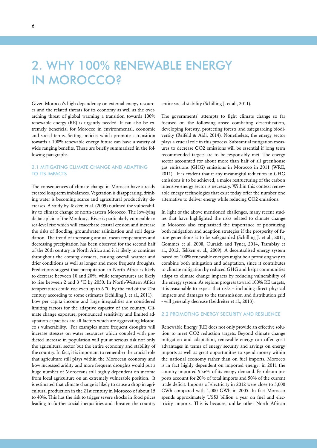# <span id="page-5-0"></span>2. WHY 100% RENEWABLE ENERGY IN MOROCCO?

Given Morocco's high dependency on external energy resources and the related threats for its economy as well as the overarching threat of global warming a transition towards 100% renewable energy (RE) is urgently needed. It can also be extremely beneficial for Morocco in environmental, economic and social terms. Setting policies which promote a transition towards a 100% renewable energy future can have a variety of wide ranging benefits. These are briefly summarized in the following paragraphs.

## 2.1 MITIGATING CLIMATE CHANGE AND ADAPTING TO ITS IMPACTS

The consequences of climate change in Morocco have already created long-term imbalances. Vegetation is disappearing, drinking water is becoming scarce and agricultural productivity decreases. A study by Tekken et al. (2009) outlined the vulnerability to climate change of north-eastern Morocco. The low-lying deltaic plain of the Moulouya River is particularly vulnerable to sea-level rise which will exacerbate coastal erosion and increase the risks of flooding, groundwater salinization and soil degradation. The trend of increasing annual mean temperatures and decreasing precipitation has been observed for the second half of the 20th century in North Africa and it is likely to continue throughout the coming decades, causing overall warmer and drier conditions as well as longer and more frequent droughts. Predictions suggest that precipitation in North Africa is likely to decrease between 10 and 20%, while temperatures are likely to rise between 2 and 3 °C by 2050. In North-Western Africa temperatures could rise even up to 6 °C by the end of the 21st century according to some estimates (Schilling J. et al., 2011). Low per capita income and large inequalities are considered limiting factors for the adaptive capacity of the country. Climate change exposure, pronounced sensitivity and limited adaptation capacities are all factors which are aggravating Morocco´s vulnerability. For examples more frequent droughts will increase stresses on water resources which coupled with predicted increase in population will put at serious risk not only the agricultural sector but the entire economy and stability of the country. In fact, it is important to remember the crucial role that agriculture still plays within the Moroccan economy and how increased aridity and more frequent droughts would put a huge number of Moroccans still highly dependent on income from local agriculture on an extremely vulnerable position. It is estimated that climate change is likely to cause a drop in agricultural production in the 21st century in Morocco of about 15 to 40%. This has the risk to trigger severe shocks in food prices leading to further social inequalities and threaten the country

entire social stability (Schilling J. et al., 2011).

The governments´ attempts to fight climate change so far focused on the following areas: combating desertification, developing forestry, protecting forests and safeguarding biodiversity (Reifeld & Aidi, 2014). Nonetheless, the energy sector plays a crucial role in this process. Substantial mitigation measures to decrease CO2 emissions will be essential if long term recommended targets are to be responsibly met. The energy sector accounted for about more than half of all greenhouse gas emissions (GHG) emissions in Morocco in 2011 (WRE, 2011). It is evident that if any meaningful reduction in GHG emissions is to be achieved, a major restructuring of the carbon intensive energy sector is necessary. Within this context renewable energy technologies that exist today offer the number one alternative to deliver energy while reducing CO2 emissions.

In light of the above mentioned challenges, many recent studies that have highlighted the risks related to climate change in Morocco also emphasized the importance of prioritizing both mitigation and adaption strategies if the prosperity of future generations is to be safeguarded (Schilling J. et al., 2011, Gommes et al. 2008, Ouraich and Tyner, 2014, Tramblay et al., 2012, Tekken et al., 2009). A decentralised energy system based on 100% renewable energies might be a promising way to combine both mitigation and adaptation, since it contributes to climate mitigation by reduced GHG and helps communities adapt to climate change impacts by reducing vulnerability of the energy system. As regions progress toward 100% RE targets, it is reasonable to expect that risks – including direct physical impacts and damages to the transmission and distribution grid - will generally decrease (Leidreiter et al., 2013).

### 2.2 PROMOTING ENERGY SECURITY AND RESILIENCE

Renewable Energy (RE) does not only provide an effective solution to meet CO2 reduction targets. Beyond climate change mitigation and adaptation, renewable energy can offer great advantages in terms of energy security and savings on energy imports as well as great opportunities to spend money within the national economy rather than on fuel imports. Morocco is in fact highly dependent on imported energy: in 2011 the country imported 95.6% of its energy demand. Petroleum imports account for 20% of total imports and 50% of the current trade deficit. Imports of electricity in 2012 were close to 5,000 GWh compared with 1,000 GWh in 2005. In fact Morocco spends approximately US\$3 billion a year on fuel and electricity imports. This is because, unlike other North African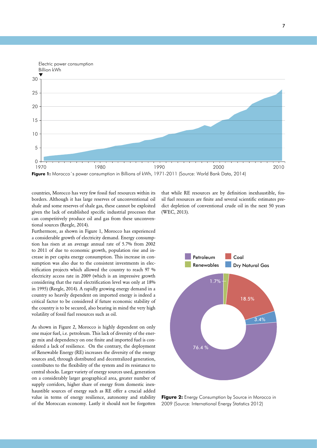

countries, Morocco has very few fossil fuel resources within its line to the coalled the coalled the coalled the coalled the coalled the coalled the coalled the coalled the coalled the coalled the coalled the coalled the c borders. Although it has large reserves of unconventional oil shale and some reserves of shale gas, these cannot be exploited given the lack of established specific industrial processes that can competitively produce oil and gas from these unconventional sources (Reegle, 2014).

Furthermore, as shown in Figure 1, Morocco has experienced a considerable growth of electricity demand. Energy consumption has risen at an average annual rate of 5.7% from 2002 to 2011 of due to economic growth, population rise and increase in per capita energy consumption. This increase in consumption was also due to the consistent investments in electrification projects which allowed the country to reach 97 % electricity access rate in 2009 (which is an impressive growth considering that the rural electrification level was only at 18% in 1995) (Reegle, 2014). A rapidly growing energy demand in a country so heavily dependent on imported energy is indeed a critical factor to be considered if future economic stability of the country is to be secured, also bearing in mind the very high volatility of fossil fuel resources such as oil.

As shown in Figure 2, Morocco is highly dependent on only one major fuel, i.e. petroleum. This lack of diversity of the energy mix and dependency on one finite and imported fuel is considered a lack of resilience. On the contrary, the deployment of Renewable Energy (RE) increases the diversity of the energy sources and, through distributed and decentralized generation, contributes to the flexibility of the system and its resistance to central shocks. Larger variety of energy sources used, generation on a considerably larger geographical area, greater number of supply corridors, higher share of energy from domestic inexhaustible sources of energy such as RE offer a crucial added value in terms of energy resilience, autonomy and stability of the Moroccan economy. Lastly it should not be forgotten 2009 (Source: International Energy Statistics 2012)

that while RE resources are by definition inexhaustible, fos-10 sil fuel resources are finite and several scientific estimates predict depletion of conventional crude oil in the next 50 years (WEC, 2013).



**Figure 2:** Energy Consumption by Source in Morocco in 2009 (Source: International Energy Statistics 2012)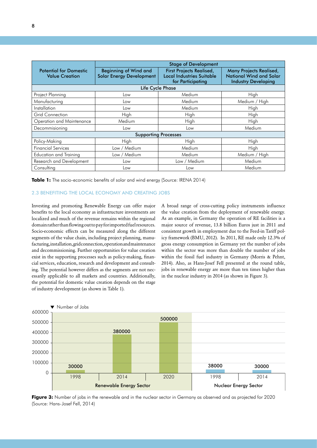<span id="page-7-0"></span>

|                                                        | <b>Stage of Development</b>                                     |                                                                                          |                                                                                                |  |  |  |
|--------------------------------------------------------|-----------------------------------------------------------------|------------------------------------------------------------------------------------------|------------------------------------------------------------------------------------------------|--|--|--|
| <b>Potential for Domestic</b><br><b>Value Creation</b> | <b>Beginning of Wind and</b><br><b>Solar Energy Development</b> | <b>First Projects Realised,</b><br><b>Local Industries Suitable</b><br>for Participating | <b>Many Projects Realised,</b><br><b>National Wind and Solar</b><br><b>Industry Developing</b> |  |  |  |
| Life Cycle Phase                                       |                                                                 |                                                                                          |                                                                                                |  |  |  |
| Project Planning                                       | Low                                                             | Medium                                                                                   | High                                                                                           |  |  |  |
| Manufacturing                                          | Low                                                             | Medium                                                                                   | Medium / High                                                                                  |  |  |  |
| <i>Installation</i>                                    | Low                                                             | Medium                                                                                   | High                                                                                           |  |  |  |
| <b>Grid Connection</b>                                 | High                                                            | High                                                                                     | High                                                                                           |  |  |  |
| Operation and Maintenance                              | Medium                                                          | High                                                                                     | High                                                                                           |  |  |  |
| Decommisioning                                         | Low                                                             | Low                                                                                      | Medium                                                                                         |  |  |  |
| <b>Supporting Processes</b>                            |                                                                 |                                                                                          |                                                                                                |  |  |  |
| Policy-Making                                          | High                                                            | High                                                                                     | High                                                                                           |  |  |  |
| <b>Financial Services</b>                              | Low / Medium                                                    | Medium                                                                                   | High                                                                                           |  |  |  |
| <b>Education and Training</b>                          | Low / Medium                                                    | Medium                                                                                   | Medium / High                                                                                  |  |  |  |
| Research and Development                               | Low                                                             | Low / Medium                                                                             | Medium                                                                                         |  |  |  |
| Consulting                                             | Low                                                             | Low                                                                                      | Medium                                                                                         |  |  |  |

**Table 1:** The socio-economic benefits of solar and wind energy (Source: IRENA 2014)

## 2.3 BENEFITING THE LOCAL ECONOMY AND CREATING JOBS

Investing and promoting Renewable Energy can offer major benefits to the local economy as infrastructure investments are localized and much of the revenue remains within the regional domain rather than flowing out to pay for imported fuel resources. Socio-economic effects can be measured along the different segments of the value chain, including project planning, manufacturing, installation, grid connection, operation and maintenance and decommissioning. Further opportunities for value creation exist in the supporting processes such as policy-making, financial services, education, research and development and consulting. The potential however differs as the segments are not necessarily applicable to all markets and countries. Additionally, the potential for domestic value creation depends on the stage of industry development (as shown in Table 1).

A broad range of cross-cutting policy instruments influence the value creation from the deployment of renewable energy. As an example, in Germany the operation of RE facilities is a major source of revenue, 13.8 billion Euros just in 2011 and consistent growth in employment due to the Feed-in Tariff policy framework (BMU, 2012). In 2011, RE made only 12.3% of gross energy consumption in Germany yet the number of jobs within the sector was more than double the number of jobs within the fossil fuel industry in Germany (Morris & Pehnt, 2014). Also, as Hans-Josef Fell presented at the round table, jobs in renewable energy are more than ten times higher than in the nuclear industry in 2014 (as shown in Figure 3).



Figure 3: Number of jobs in the renewable and in the nuclear sector in Germany as observed and as projected for 2020 (Source: Hans-Josef Fell, 2014)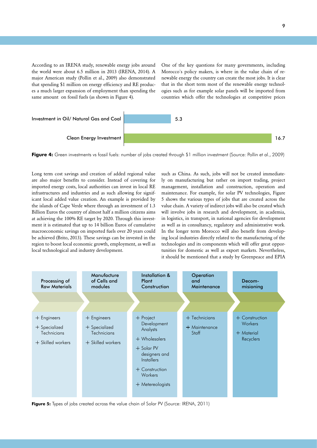According to an IRENA study, renewable energy jobs around the world were about 6.5 million in 2013 (IRENA, 2014). A major American study (Pollin et al., 2009) also demonstrated that spending \$1 million on energy efficiency and RE produces a much larger expansion of employment than spending the same amount on fossil fuels (as shown in Figure 4).

200000 300000

> One of the key questions for many governments, including Morocco's policy makers, is where in the value chain of ret al., 2009) also demonstrated newable energy the country can create the most jobs. It is clear that in the short term most of the renewable energy technologies such as for example solar panels will be imported from countries which offer the technologies at competitive prices



**Figure 4:** Green investments vs fossil fuels: number of jobs created through \$1 million investment (Source: Pollin et al., 2009)  $300000$  38000 38000 38000 38000 38000 38000 38000 38000 38000 38000 38000 38000 38000 38000 38000 38000 38000 38000 38000 38000 38000 38000 38000 38000 38000 38000 38000 38000 38000 38000 38000 38000 38000 38000 38000 38

Long term cost savings and creation of added regional value such are also major benefits to consider. Instead of covering for imported energy costs, local authorities can invest in local RE mar infrastructures and industries and as such allowing for significant local added value creation. An example is provided by the islands of Cape Verde where through an investment of 1.3 Billion Euros the country of almost half a million citizens aims at achieving the 100% RE target by 2020. Through this investment it is estimated that up to 14 billion Euros of cumulative as w macroeconomic savings on imported fuels over 20 years could be achieved (Brito, 2013). These savings can be invested in the in region to boost local economic growth, employment, as well as local technological and industry development.  $WCH$   $dS$ at a chieving the TOO%  $\kappa$  and Carget by 2020. This

such as China. As such, jobs will not be created immediatesider. Instead of covering for ly on manufacturing but rather on import trading, project management, installation and construction, operation and maintenance. For example, for solar PV technologies, Figure 5 shows the various types of jobs that are created across the value chain. A variety of indirect jobs will also be created which will involve jobs in research and development, in academia, in logistics, in transport, in national agencies for development as well as in consultancy, regulatory and administrative work. In the longer term Morocco will also benefit from developing local industries directly related to the manufacturing of the technologies and its components which will offer great opportunities for domestic as well as export markets. Nevertheless, it should be mentioned that a study by Greenpeace and EPIA  $\frac{1}{3}$ 



**Figure 5:** Types of jobs created across the value chain of Solar PV (Source: IRENA, 2011)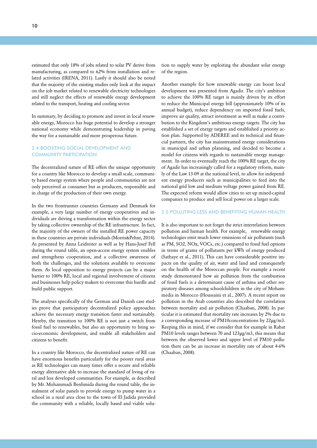<span id="page-9-0"></span>estimated that only 18% of jobs related to solar PV derive from manufacturing, as compared to 62% from installation and related activities (IRENA, 2011). Lastly it should also be noted that the majority of the existing studies only look at the impact on the job market related to renewable electricity technologies and still neglect the effects of renewable energy development related to the transport, heating and cooling sector.

In summary, by deciding to promote and invest in local renewable energy, Morocco has huge potential to develop a stronger national economy while demonstrating leadership in paving the way for a sustainable and more prosperous future.

## 2.4 BOOSTING SOCIAL DEVELOPMENT AND COMMUNITY PARTICIPATION

The decentralized nature of RE offers the unique opportunity for a country like Morocco to develop a small scale, community based energy system where people and communities are not only perceived as consumer but as producers, responsible and in charge of the production of their own energy.

In the two frontrunner countries Germany and Denmark for example, a very large number of energy cooperatives and individuals are driving a transformation within the energy sector by taking collective ownership of the RE infrastructure. In fact, the majority of the owners of the installed RE power capacity in these countries are private individuals (Morris&Pehnt, 2014). As presented by Anna Leidreiter as well as by Hans-Josef Fell during the round table, an open-access energy system enables and strengthens cooperation, and a collective awareness of both the challenges, and the solutions available to overcome them. As local opposition to energy projects can be a major barrier to 100% RE, local and regional involvement of citizens and businesses help policy makers to overcome this hurdle and build public support.

The analyses specifically of the German and Danish case studies prove that participatory decentralized policy approaches achieve the necessary energy transition faster and sustainably. Hereby, the transition to 100% RE is not just a switch from fossil fuel to renewables, but also an opportunity to bring socio-economic development, and enable all stakeholders and citizens to benefit.

In a country like Morocco, the decentralized nature of RE can have enormous benefits particularly for the poorer rural areas as RE technologies can many times offer a secure and reliable energy alternative able to increase the standard of living of rural and less developed communities. For example, as described by Mr. Mohammadi Benhmida during the round table, the instalment of solar panels to provide energy to pump water in a school in a rural area close to the town of El Jadida provided the community with a reliable, locally based and viable solu-

tion to supply water by exploiting the abundant solar energy of the region.

Another example for how renewable energy can boost local development was presented from Agadir. The city's ambition to achieve the 100% RE target is mainly driven by its effort to reduce the Municipal energy bill (approximately 10% of its annual budget), reduce dependency on imported fossil fuels, improve air quality, attract investment as well as make a contribution to the Kingdom's ambitious energy targets. The city has established a set of energy targets and established a priority action plan. Supported by ADEREE and its technical and financial partners, the city has mainstreamed energy considerations in municipal and urban planning, and decided to become a model for citizens with regards to sustainable energy management. In order to eventually reach the 100% RE target, the city of Agadir has increasingly called for a regulatory reform, mainly of the Law 13-09 at the national level, to allow for independent energy producers such as municipalities to feed into the national grid low and medium voltage power gained from RE. The expected reform would allow cities to set up mixed-capital companies to produce and sell local power on a larger scale.

### 2.5 POLLUTING LESS AND BENEFITING HUMAN HEALTH

It is also important to not forget the strict interrelation between pollution and human health. For example, renewable energy technologies emit much lower emissions of air pollutants (such as PM, SO2, NOx, VOCs, etc.) compared to fossil fuel options in terms of grams of pollutants per kWh of energy produced (Sathaye et al., 2011). This can have considerable positive impacts on the quality of air, water and land and consequently on the health of the Moroccan people. For example a recent study demonstrated how air pollution from the combustion of fossil fuels is a determinant cause of asthma and other respiratory diseases among schoolchildren in the city of Mohammedia in Morocco (Houssaini et al., 2007). A recent report on pollution in the Arab countries also described the correlation between mortality and air pollution (Chaaban, 2008). In particular it is estimated that mortality rate increases by 2% due to a corresponding increase of PM10concentrations by 22μg/m3. Keeping this in mind, if we consider that for example in Rabat PM10 levels ranges between 70 and 123μg/m3, this means that between the observed lower and upper level of PM10 pollution there can be an increase in mortality rate of about 4-6% (Chaaban, 2008).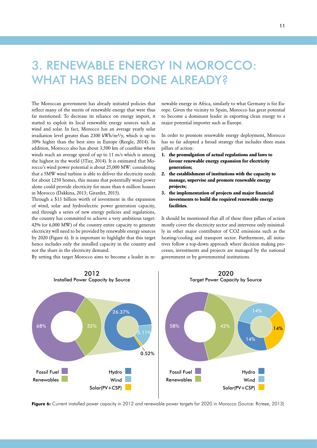# <span id="page-10-0"></span>3. RENEWABLE ENERGY IN MOROCCO: WHAT HAS BEEN DONE ALREADY?

The Moroccan government has already initiated policies that reflect many of the merits of renewable energy that were thus far mentioned. To decrease its reliance on energy import, it started to exploit its local renewable energy sources such as wind and solar. In fact, Morocco has an average yearly solar irradiation level greater than 2300 kWh/m<sup>2</sup>/y, which is up to  $30\%$  higher than the best sites in Europe (Reegle, 2014). In has addition, Morocco also has about 3,500 km of coastline where winds reach an average speed of up to 11 m/s which is among the highest in the world (3Tier, 2014). It is estimated that Morocco's wind power potential is about 25,000 MW: considering that a 5MW wind turbine is able to deliver the electricity needs for about 1250 homes, this means that potentially wind power alone could provide electricity for more than 6 million houses in Morocco (Dakkina, 2013; Girardet, 2015). generalise  $\mathbb{Z}$ .

Through a \$13 billion worth of investment in the expansion of wind, solar and hydroelectric power generation capacity, **f** and through a series of new energy policies and regulations, the country has committed to achieve a very ambitious target: 42% (or 6,000 MW) of the country entire capacity to generate mo F2% (or 0,000 M w ) or the country entire capacity to generate<br>electricity will need to be provided by renewable energy sources by 2020 (Figure 6). It is important to highlight that this target heating hence includes only the installed capacity in the country and not the share in the electricity demand.

By setting this target Morocco aims to become a leader in re-

newable energy in Africa, similarly to what Germany is for Europe. Given the vicinity to Spain, Morocco has great potential to become a dominant leader in exporting clean energy to a major potential importer such as Europe.

In order to promote renewable energy deployment, Morocco has so far adopted a broad strategy that includes three main pillars of action:

- **1. the promulgation of actual regulations and laws to favour renewable energy expansion for electricity generation;**
- **2.** the establishment of institutions with the capacity to manage, supervise and promote renewable energy **projects;**   $\frac{1}{2}$
- 3. the implementation of projects and major financial **investments to build the required renewable energy facilities.**

It should be mentioned that all of these three pillars of action mostly cover the electricity sector and intervene only minimally in other major contributor of CO2 emissions such as the heating/cooling and transport sector. Furthermore, all initiatives follow a top-down approach where decision making processes, investments and projects are managed by the national government or by governmental institutions.



2012

Phase 2:

Consulation with

**Figure 6:** Current installed power capacity in 2012 and renewable power targets for 2020 in Morocco (Source: Rcreee, 2013)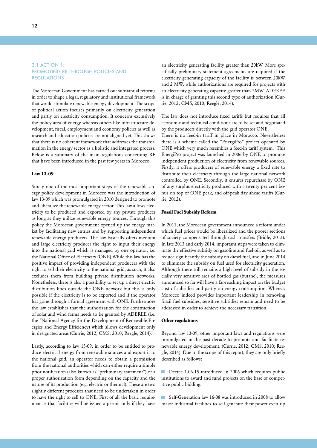## <span id="page-11-0"></span>3.1 ACTION 1: PROMOTING RE THROUGH POLICIES AND REGULATIONS

The Moroccan Government has carried out substantial reforms in order to shape a legal, regulatory and institutional framework that would stimulate renewable energy development. The scope of political action focuses primarily on electricity generation and partly on electricity consumption. It concerns exclusively the policy area of energy whereas others like infrastructure development, fiscal, employment and economy policies as well as research and education policies are not aligned yet. This shows that there is no coherent framework that addresses the transformation in the energy sector as a holistic and integrated process. Below is a summary of the main regulations concerning RE that have been introduced in the past few years in Morocco.

## **Law 13-09**

Surely one of the most important steps of the renewable energy policy development in Morocco was the introduction of law 13-09 which was promulgated in 2010 designed to promote and liberalize the renewable energy sector. This law allows electricity to be produced and exported by any private producer as long as they utilize renewable energy sources. Through this policy the Moroccan government opened up the energy market by facilitating new entries and by supporting independent renewable energy producers. The law basically offers medium and large electricity producer the right to input their energy into the national grid which is managed by one operator, i.e. the National Office of Electricity (ONE).While this law has the positive impact of providing independent producers with the right to sell their electricity to the national grid, as such, it also excludes them from building private distribution networks. Nonetheless, there is also a possibility to set up a direct electric distribution lines outside the ONE network but this is only possible if the electricity is to be exported and if the operator has gone through a formal agreement with ONE. Furthermore the law establishes that the authorization for the construction of solar and wind farms needs to be granted by ADEREE (i.e. the "National Agency for the Development of Renewable Energies and Energy Efficiency) which allows development only in designated areas (Currie, 2012; CMS, 2010; Reegle, 2014).

Lastly, according to law 13-09, in order to be entitled to produce electrical energy from renewable sources and export it to the national grid, an operator needs to obtain a permission from the national authorities which can either require a simple prior notification (also known as "preliminary statement") or a proper authorization form depending on the capacity and the nature of its production (e.g. electric or thermal). These are two slightly different processes that need to be undertaken in order to have the right to sell to ONE. First of all the basic requirement is that facilities will be issued a permit only if they have

an electricity generating facility greater than 20kW. More specifically preliminary statement agreements are required if the electricity generating capacity of the facility is between 20kW and 2 MW, while authorizations are required for projects with an electricity generating capacity greater than 2MW. ADEREE is in charge of granting this second type of authorization (Currie, 2012; CMS, 2010; Reegle, 2014).

The law does not introduce fixed tariffs but requires that all economic and technical conditions are to be set and negotiated by the producers directly with the grid operator ONE.

There is no feed-in tariff in place in Morocco. Nevertheless there is a scheme called the "EnergiPro" project operated by ONE which very much resembles a feed-in tariff system. This EnergiPro project was launched in 2006 by ONE to promote independent production of electricity from renewable sources. Firstly, it offers producers of renewable energy a fixed rate to distribute their electricity through the large national network controlled by ONE. Secondly, it ensures repurchase by ONE of any surplus electricity produced with a twenty per cent bonus on top of ONE peak, and off-peak day ahead tariffs (Currie, 2012).

#### **Fossil Fuel Subsidy Reform**

In 2011, the Moroccan government announced a reform under which fuel prices would be liberalized and the poorer sections of society compensated through cash transfers (Bridle, 2013). In late 2013 and early 2014, important steps were taken to eliminate the effective subsidy on gasoline and fuel oil, as well as to reduce significantly the subsidy on diesel fuel, and in June 2014 to eliminate the subsidy on fuel used for electricity generation. Although there still remains a high level of subsidy in the socially very sensitive area of bottled gas (butane), the measures announced so far will have a far-reaching impact on the budget cost of subsidies and partly on energy consumption. Whereas Morocco indeed provides important leadership in removing fossil fuel subsidies, sensitive subsidies remain and need to be addressed in order to achieve the necessary transition.

#### **Other regulations**

Beyond law 13-09, other important laws and regulations were promulgated in the past decade to promote and facilitate renewable energy development. (Currie, 2012; CMS, 2010; Reegle, 2014). Due to the scope of this report, they are only briefly described as follows:

Decree 1-06-15 introduced in 2006 which requires public institutions to award and fund projects on the base of competitive public bidding.

Self-Generation law 16-08 was introduced in 2008 to allow major industrial facilities to self-generate their power even up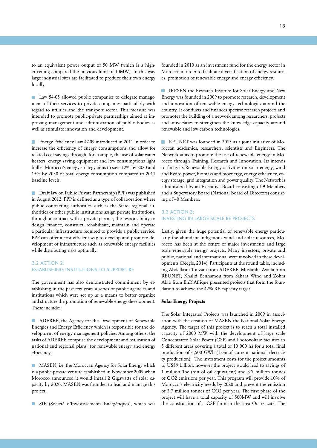<span id="page-12-0"></span>to an equivalent power output of 50 MW (which is a higher ceiling compared the previous limit of 10MW). In this way large industrial sites are facilitated to produce their own energy locally.

**Law 54-05 allowed public companies to delegate manage**ment of their services to private companies particularly with regard to utilities and the transport sector. This measure was intended to promote public-private partnerships aimed at improving management and administration of public bodies as well as stimulate innovation and development.

Energy Efficiency Law 47-09 introduced in 2011 in order to increase the efficiency of energy consumptions and allow for related cost savings through, for example, the use of solar water heaters, energy saving equipment and low consumptions light bulbs. Morocco's energy strategy aims to save 12% by 2020 and 15% by 2030 of total energy consumption compared to 2011 baseline levels.

**Draft law on Public Private Partnership (PPP) was published** in August 2012. PPP is defined as a type of collaboration where public contracting authorities such as the State, regional authorities or other public institutions assign private institutions, through a contract with a private partner, the responsibility to design, finance, construct, rehabilitate, maintain and operate a particular infrastructure required to provide a public service. PPP can offer a cost efficient way to develop and promote development of infrastructure such as renewable energy facilities while distributing risks optimally.

## 3.2 ACTION 2: ESTABLISHING INSTITUTIONS TO SUPPORT RE

The government has also demonstrated commitment by establishing in the past few years a series of public agencies and institutions which were set up as a means to better organize and structure the promotion of renewable energy development. These include:

**ADEREE**, the Agency for the Development of Renewable Energies and Energy Efficiency which is responsible for the development of energy management policies. Among others, the tasks of ADEREE comprise the development and realization of national and regional plans for renewable energy and energy efficiency.

**MASEN**, i.e. the Moroccan Agency for Solar Energy which is a public-private venture established in November 2009 when Morocco announced it would install 2 Gigawatts of solar capacity by 2020. MASEN was founded to lead and manage this project.

SIE (Société d'Investissements Energétiques), which was

founded in 2010 as an investment fund for the energy sector in Morocco in order to facilitate diversification of energy resources, promotion of renewable energy and energy efficiency.

**IRESEN** the Research Institute for Solar Energy and New Energy was founded in 2009 to promote research, development and innovation of renewable energy technologies around the country. It conducts and finances specific research projects and promotes the building of a network among researchers, projects and universities to strengthen the knowledge capacity around renewable and low carbon technologies.

**REUNET** was founded in 2013 as a joint initiative of Moroccan academics, researchers, scientists and Engineers. The Network aims to promote the use of renewable energy in Morocco through Training, Research and Innovation. Its intends to focus its Renewable Energy activities on solar energy, wind and hydro power, biomass and bioenergy, energy efficiency, energy storage, grid integration and power quality. The Network is administered by an Executive Board consisting of 9 Members and a Supervisory Board (National Board of Directors) consisting of 40 Members.

## 3.3 ACTION 3: INVESTING IN LARGE SCALE RE PROJECTS

Lastly, given the huge potential of renewable energy particularly the abundant indigenous wind and solar resources, Morocco has been at the centre of major investments and large scale renewable energy projects. Many investors, private and public, national and international were involved in these developments (Reegle, 2014). Participants at the round table, including Abdelkrim Touzani from ADEREE, Mustapha Ayaita from REUNET, Khalid Benhamou from Sahara Wind and Zohra Abib from EnR`Afrique presented projects that form the foundation to achieve the 42% RE capacity target.

#### **Solar Energy Projects**

The Solar Integrated Projects was launched in 2009 in association with the creation of MASEN the National Solar Energy Agency. The target of this project is to reach a total installed capacity of 2000 MW with the development of large scale Concentrated Solar Power (CSP) and Photovoltaic facilities in 5 different areas covering a total of 10 000 ha for a total final production of 4,500 GWh (18% of current national electricity production). The investment costs for the project amounts to US\$9 billion, however the project would lead to savings of 1 million Toe (ton of oil equivalent) and 3.7 million tonnes of CO2 emissions per year. This program will provide 10% of Morocco´s electricity needs by 2020 and prevent the emission of 3.7 million tonnes of CO2 per year. The first phase of the project will have a total capacity of 500MW and will involve the construction of a CSP farm in the area Ouarzazate. The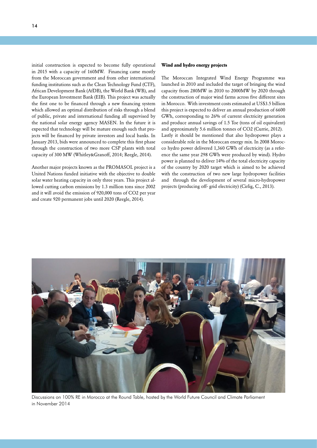initial construction is expected to become fully operational in 2015 with a capacity of 160MW. Financing came mostly from the Moroccan government and from other international funding institutions such as the Clean Technology Fund (CTF), African Development Bank (AfDB), the World Bank (WB), and the European Investment Bank (EIB). This project was actually the first one to be financed through a new financing system which allowed an optimal distribution of risks through a blend of public, private and international funding all supervised by the national solar energy agency MASEN. In the future it is expected that technology will be mature enough such that projects will be financed by private investors and local banks. In January 2013, bids were announced to complete this first phase through the construction of two more CSP plants with total capacity of 300 MW (Whitley&Granoff, 2014; Reegle, 2014).

Another major projects known as the PROMASOL project is a United Nations funded initiative with the objective to double solar water heating capacity in only three years. This project allowed cutting carbon emissions by 1.3 million tons since 2002 and it will avoid the emission of 920,000 tons of CO2 per year and create 920 permanent jobs until 2020 (Reegle, 2014).

#### **Wind and hydro energy projects**

The Moroccan Integrated Wind Energy Programme was launched in 2010 and included the target of bringing the wind capacity from 280MW in 2010 to 2000MW by 2020 through the construction of major wind farms across five different sites in Morocco. With investment costs estimated at US\$3.5 billion this project is expected to deliver an annual production of 6600 GWh, corresponding to 26% of current electricity generation and produce annual savings of 1.5 Toe (tons of oil equivalent) and approximately 5.6 million tonnes of CO2 (Currie, 2012). Lastly it should be mentioned that also hydropower plays a considerable role in the Moroccan energy mix. In 2008 Morocco hydro power delivered 1,360 GWh of electricity (as a reference the same year 298 GWh were produced by wind). Hydro power is planned to deliver 14% of the total electricity capacity of the country by 2020 target which is aimed to be achieved with the construction of two new large hydropower facilities and through the development of several micro-hydropower projects (producing off- grid electricity) (Cirlig, C., 2013).



Discussions on 100% RE in Morocco at the Round Table, hosted by the World Future Council and Climate Parliament in November 2014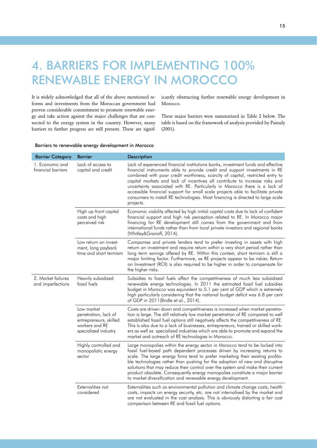# <span id="page-14-0"></span>4. BARRIERS FOR IMPLEMENTING 100% RENEWABLE ENERGY IN MOROCCO

It is widely acknowledged that all of the above mentioned reforms and investments from the Moroccan government had proven considerable commitment to promote renewable energy and take action against the major challenges that are connected to the energy system in the country. However, many barriers to further progress are still present. These are significantly obstructing further renewable energy development in Morocco.

These major barriers were summarized in Table 2 below. The table is based on the framework of analysis provided by Painuly  $(2001)$ .

## Barriers to renewable energy development in Morocco

| <b>Barrier Category</b>                 | <b>Barrier</b>                                                                                         | <b>Description</b>                                                                                                                                                                                                                                                                                                                                                                                                                                                                                                                                                                                |
|-----------------------------------------|--------------------------------------------------------------------------------------------------------|---------------------------------------------------------------------------------------------------------------------------------------------------------------------------------------------------------------------------------------------------------------------------------------------------------------------------------------------------------------------------------------------------------------------------------------------------------------------------------------------------------------------------------------------------------------------------------------------------|
| 1. Economic and<br>financial barriers   | Lack of access to<br>capital and credit                                                                | Lack of experienced financial institutions banks, investment funds and effective<br>financial instruments able to provide credit and support investments in RE<br>combined with poor credit worthiness, scarcity of capital, restricted entry to<br>capital markets and lack of incentives all contribute to increase risks and<br>uncertainty associated with RE. Particularly in Morocco there is a lack of<br>accessible financial support for small scale projects able to facilitate private<br>consumers to install RE technologies. Most financing is directed to large scale<br>projects. |
|                                         | High up-front capital<br>costs and high<br>perceived risk                                              | Economic viability affected by high initial capital costs due to lack of confident<br>financial support and high risk perception related to RE. In Morocco major<br>financing for RE development still comes from the government and from<br>international funds rather than from local private investors and regional banks<br>(Whitley&Granoff, 2014).                                                                                                                                                                                                                                          |
|                                         | Low return on invest-<br>ment, long payback<br>time and short termism                                  | Companies and private lenders tend to prefer investing in assets with high<br>return on investment and require return within a very short period rather than<br>long term savings offered by RE. Within this context, short termism is still a<br>major limiting factor. Furthermore, as RE projects appear to be riskier, Return<br>on Investment (ROI) is also required to be higher in order to compensate for<br>the higher risks.                                                                                                                                                            |
| 2. Market failures<br>and imperfections | Heavily subsidized<br>fossil fuels                                                                     | Subsidies to fossil fuels affect the competitiveness of much less subsidized<br>renewable energy technologies. In 2011 the estimated fossil fuel subsidies<br>budget in Morocco was equivalent to 5.1 per cent of GDP which is extremely<br>high particularly considering that the national budget deficit was 6.8 per cent<br>of GDP in 2011(Bridle et al., 2014).                                                                                                                                                                                                                               |
|                                         | Low market<br>penetration, lack of<br>entrepreneurs, skilled<br>workers and RE<br>specialized industry | Costs are driven down and competitiveness is increased when market penetra-<br>tion is large. The still relatively low market penetration of RE compared to well<br>established fossil fuel options still negatively affects the competitiveness of RE.<br>This is also due to a lack of businesses, entrepreneurs, trained or skilled work-<br>ers as well as specialized industries which are able to promote and expand the<br>market and outreach of RE technologies in Morocco.                                                                                                              |
|                                         | Highly controlled and<br>monopolistic energy<br>sector                                                 | Large monopolies within the energy sector in Morocco tend to be locked into<br>fossil fuel-based path dependent processes driven by increasing returns to<br>scale. The large energy firms tend to prefer marketing their existing profita-<br>ble technologies rather than pushing for the adoption of new and disruptive<br>solutions that may reduce their control over the system and make their current<br>product obsolete. Consequently energy monopolies constitute a major barrier<br>to market diversification and renewable energy development.                                        |
|                                         | Externalities not<br>considered                                                                        | Externalities such as environmental pollution and climate change costs, health<br>costs, impacts on energy security, etc. are not internalised by the market and<br>are not evaluated in the cost analysis. This is obviously distorting a fair cost<br>comparison between RE and fossil fuel options.                                                                                                                                                                                                                                                                                            |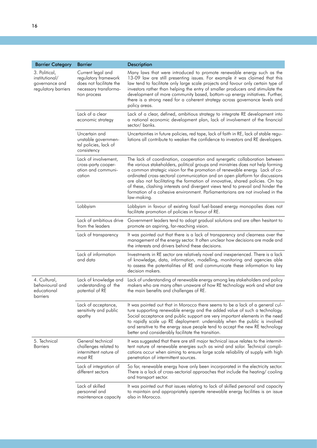|                                                                          | <b>Barrier</b>                                                                                                | <b>Description</b>                                                                                                                                                                                                                                                                                                                                                                                                                                                                                                                                                                                |
|--------------------------------------------------------------------------|---------------------------------------------------------------------------------------------------------------|---------------------------------------------------------------------------------------------------------------------------------------------------------------------------------------------------------------------------------------------------------------------------------------------------------------------------------------------------------------------------------------------------------------------------------------------------------------------------------------------------------------------------------------------------------------------------------------------------|
| <b>Barrier Category</b>                                                  |                                                                                                               |                                                                                                                                                                                                                                                                                                                                                                                                                                                                                                                                                                                                   |
| 3. Political,<br>institutional/<br>governance and<br>regulatory barriers | Current legal and<br>regulatory framework<br>does not facilitate the<br>necessary transforma-<br>tion process | Many laws that were introduced to promote renewable energy such as the<br>13-09 law are still presenting issues. For example it was claimed that this<br>law tend to facilitate only large scale projects and favour only certain type of<br>investors rather than helping the entry of smaller producers and stimulate the<br>development of more community based, bottom-up energy initiatives. Further,<br>there is a strong need for a coherent strategy across governance levels and<br>policy areas.                                                                                        |
|                                                                          | Lack of a clear<br>economic strategy                                                                          | Lack of a clear, defined, ambitious strategy to integrate RE development into<br>a national economic development plan, lack of involvement of the financial<br>sector/banks.                                                                                                                                                                                                                                                                                                                                                                                                                      |
|                                                                          | Uncertain and<br>unstable governmen-<br>tal policies, lack of<br>consistency                                  | Uncertainties in future policies, red tape, lack of faith in RE, lack of stable regu-<br>lations all contribute to weaken the confidence to investors and RE developers.                                                                                                                                                                                                                                                                                                                                                                                                                          |
|                                                                          | Lack of involvement,<br>cross-party cooper-<br>ation and communi-<br>cation                                   | The lack of coordination, cooperation and synergetic collaboration between<br>the various stakeholders, political groups and ministries does not help forming<br>a common strategic vision for the promotion of renewable energy. Lack of co-<br>ordinated cross-sectoral communication and an open platform for discussions<br>are also not facilitating the formation of innovative, shared policies. On top<br>of these, clashing interests and divergent views tend to prevail and hinder the<br>formation of a cohesive environment. Parliamentarians are not involved in the<br>law-making. |
|                                                                          | Lobbyism                                                                                                      | Lobbyism in favour of existing fossil fuel-based energy monopolies does not<br>facilitate promotion of policies in favour of RE.                                                                                                                                                                                                                                                                                                                                                                                                                                                                  |
|                                                                          | Lack of ambitious drive<br>from the leaders                                                                   | Government leaders tend to adopt gradual solutions and are often hesitant to<br>promote an aspiring, far-reaching vision.                                                                                                                                                                                                                                                                                                                                                                                                                                                                         |
|                                                                          | Lack of transparency                                                                                          | It was pointed out that there is a lack of transparency and clearness over the<br>management of the energy sector. It often unclear how decisions are made and<br>the interests and drivers behind these decisions.                                                                                                                                                                                                                                                                                                                                                                               |
|                                                                          | Lack of information<br>and data                                                                               | Investments in RE sector are relatively novel and inexperienced. There is a lack<br>of knowledge, data, information, modelling, monitoring and agencies able<br>to assess the potentialities of RE and communicate these information to key<br>decision makers.                                                                                                                                                                                                                                                                                                                                   |
| 4. Cultural,<br>behavioural and<br>educational<br>barriers               | Lack of knowledge and<br>understanding of the<br>potential of RE                                              | Lack of understanding of renewable energy among key stakeholders and policy<br>makers who are many often unaware of how RE technology work and what are<br>the main benefits and challenges of RE.                                                                                                                                                                                                                                                                                                                                                                                                |
|                                                                          | Lack of acceptance,<br>sensitivity and public<br>apathy                                                       | It was pointed out that in Morocco there seems to be a lack of a general cul-<br>ture supporting renewable energy and the added value of such a technology.<br>Social acceptance and public support are very important elements in the need<br>to rapidly scale up RE deployment: undeniably when the public is involved<br>and sensitive to the energy issue people tend to accept the new RE technology<br>better and considerably facilitate the transition.                                                                                                                                   |
| 5. Technical<br><b>Barriers</b>                                          | General technical<br>challenges related to<br>intermittent nature of<br>most RE                               | It was suggested that there are still major technical issue relates to the intermit-<br>tent nature of renewable energies such as wind and solar. Technical compli-<br>cations occur when aiming to ensure large scale reliability of supply with high<br>penetration of intermittent sources.                                                                                                                                                                                                                                                                                                    |
|                                                                          | Lack of integration of<br>different sectors                                                                   | So far, renewable energy have only been incorporated in the electricity sector.<br>There is a lack of cross-sectorial approaches that include the heating/ cooling<br>and transport sector.                                                                                                                                                                                                                                                                                                                                                                                                       |
|                                                                          | Lack of skilled<br>personnel and<br>maintenance capacity                                                      | It was pointed out that issues relating to lack of skilled personal and capacity<br>to maintain and appropriately operate renewable energy facilities is an issue<br>also in Morocco.                                                                                                                                                                                                                                                                                                                                                                                                             |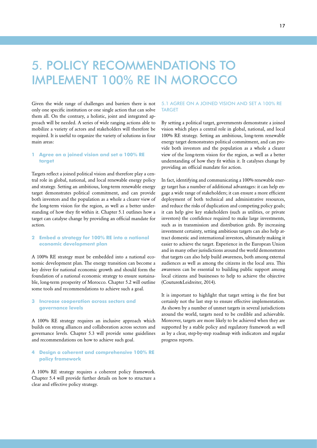# <span id="page-16-0"></span>5. POLICY RECOMMENDATIONS TO IMPLEMENT 100% RE IN MOROCCO

Given the wide range of challenges and barriers there is not only one specific institution or one single action that can solve them all. On the contrary, a holistic, joint and integrated approach will be needed. A series of wide ranging actions able to mobilize a variety of actors and stakeholders will therefore be required. It is useful to organize the variety of solutions in four main areas:

## **1 Agree on a joined vision and set a 100% RE target**

Targets reflect a joined political vision and therefore play a central role in global, national, and local renewable energy policy and strategy. Setting an ambitious, long-term renewable energy target demonstrates political commitment, and can provide both investors and the population as a whole a clearer view of the long-term vision for the region, as well as a better understanding of how they fit within it. Chapter 5.1 outlines how a target can catalyse change by providing an official mandate for action.

## **2 Embed a strategy for 100% RE into a national economic development plan**

A 100% RE strategy must be embedded into a national economic development plan. The energy transition can become a key driver for national economic growth and should form the foundation of a national economic strategy to ensure sustainable, long-term prosperity of Morocco. Chapter 5.2 will outline some tools and recommendations to achieve such a goal.

## **3 Increase cooperation across sectors and governance levels**

A 100% RE strategy requires an inclusive approach which builds on strong alliances and collaboration across sectors and governance levels. Chapter 5.3 will provide some guidelines and recommendations on how to achieve such goal.

## **4 Design a coherent and comprehensive 100% RE policy framework**

A 100% RE strategy requires a coherent policy framework. Chapter 5.4 will provide further details on how to structure a clear and effective policy strategy.

## 5.1 AGREE ON A JOINED VISION AND SET A 100% RE TARGET

By setting a political target, governments demonstrate a joined vision which plays a central role in global, national, and local 100% RE strategy. Setting an ambitious, long-term renewable energy target demonstrates political commitment, and can provide both investors and the population as a whole a clearer view of the long-term vision for the region, as well as a better understanding of how they fit within it. It catalyses change by providing an official mandate for action.

In fact, identifying and communicating a 100% renewable energy target has a number of additional advantages: it can help engage a wide range of stakeholders; it can ensure a more efficient deployment of both technical and administrative resources, and reduce the risks of duplication and competing policy goals; it can help give key stakeholders (such as utilities, or private investors) the confidence required to make large investments, such as in transmission and distribution grids. By increasing investment certainty, setting ambitious targets can also help attract domestic and international investors, ultimately making it easier to achieve the target. Experience in the European Union and in many other jurisdictions around the world demonstrates that targets can also help build awareness, both among external audiences as well as among the citizens in the local area. This awareness can be essential to building public support among local citizens and businesses to help to achieve the objective (Couture&Leidreiter, 2014).

It is important to highlight that target setting is the first but certainly not the last step to ensure effective implementation. As shown by a number of unmet targets in several jurisdictions around the world, targets need to be credible and achievable. Moreover, targets are more likely to be achieved when they are supported by a stable policy and regulatory framework as well as by a clear, step-by-step roadmap with indicators and regular progress reports.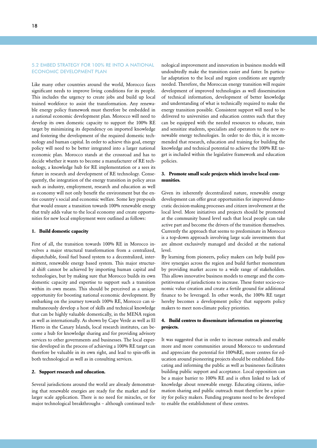### <span id="page-17-0"></span>5.2 EMBED STRATEGY FOR 100% RE INTO A NATIONAL ECONOMIC DEVELOPMENT PLAN

Like many other countries around the world, Morocco faces significant needs to improve living conditions for its people. This includes the urgency to create jobs and build up local trained workforce to assist the transformation. Any renewable energy policy framework must therefore be embedded in a national economic development plan. Morocco will need to develop its own domestic capacity to support the 100% RE target by minimizing its dependency on imported knowledge and fostering the development of the required domestic technology and human capital. In order to achieve this goal, energy policy will need to be better integrated into a larger national economic plan. Morocco stands at the crossroad and has to decide whether it wants to become a manufacturer of RE technology, a knowledge hub for RE implementation or a sees its future in research and development of RE technology. Consequently, the integration of the energy transition in policy areas such as industry, employment, research and education as well as economy will not only benefit the environment but the entire country´s social and economic welfare. Some key proposals that would ensure a transition towards 100% renewable energy that truly adds value to the local economy and create opportunities for new local employment were outlined as follows:

#### **1. Build domestic capacity**

First of all, the transition towards 100% RE in Morocco involves a major structural transformation from a centralized, dispatchable, fossil fuel based system to a decentralized, intermittent, renewable energy based system. This major structural shift cannot be achieved by importing human capital and technologies, but by making sure that Morocco builds its own domestic capacity and expertise to support such a transition within its own means. This should be perceived as a unique opportunity for boosting national economic development. By embarking on the journey towards 100% RE, Morocco can simultaneously develop a host of skills and technical knowledge that can be highly valuable domestically, in the MENA region as well as internationally. As shown by Cape Verde as well as El Hierro in the Canary Islands, local research institutes, can become a hub for knowledge sharing and for providing advisory services to other governments and businesses. The local expertise developed in the process of achieving a 100% RE target can therefore be valuable in its own right, and lead to spin-offs in both technological as well as in consulting services.

#### **2. Support research and education.**

Several jurisdictions around the world are already demonstrating that renewable energies are ready for the market and for larger scale application. There is no need for miracles, or for major technological breakthroughs – although continued tech-

nological improvement and innovation in business models will undoubtedly make the transition easier and faster. In particular adaptation to the local and region conditions are urgently needed. Therefore, the Moroccan energy transition will require development of improved technologies as well dissemination of technical information, development of better knowledge and understanding of what is technically required to make the energy transition possible. Consistent support will need to be delivered to universities and education centres such that they can be equipped with the needed resources to educate, train and sensitize students, specialists and operators to the new renewable energy technologies. In order to do this, it is recommended that research, education and training for building the knowledge and technical potential to achieve the 100% RE target is included within the legislative framework and education policies.

## **3. Promote small scale projects which involve local communities.**

Given its inherently decentralized nature, renewable energy development can offer great opportunities for improved democratic decision-making processes and citizen involvement at the local level. More initiatives and projects should be promoted at the community based level such that local people can take active part and become the drivers of the transition themselves. Currently the approach that seems to predominate in Morocco is a top-down approach involving large scale investments that are almost exclusively managed and decided at the national level.

By learning from pioneers, policy makers can help build positive synergies across the region and build further momentum by providing market access to a wide range of stakeholders. This allows innovative business models to emerge and the competitiveness of jurisdictions to increase. These foster socio-economic value creation and create a fertile ground for additional finance to be leveraged. In other words, the 100% RE target hereby becomes a development policy that supports policy makers to meet non-climate policy priorities.

## **4. Build centres to disseminate information on pioneering projects.**

It was suggested that in order to increase outreach and enable more and more communities around Morocco to understand and appreciate the potential for 100%RE, more centres for education around pioneering projects should be established. Educating and informing the public as well as businesses facilitates building public support and acceptance. Local opposition can be a major barrier to 100% RE and is often linked to lack of knowledge about renewable energy. Educating citizens, information sharing and public outreach must therefore be a priority for policy makers. Funding programs need to be developed to enable the establishment of these centres.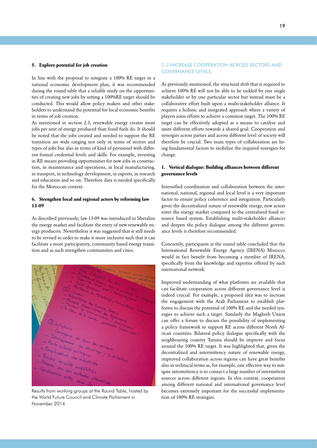#### <span id="page-18-0"></span>**5. Explore potential for job creation**

In line with the proposal to integrate a 100% RE target in a national economic development plan, it was recommended during the round table that a reliable study on the opportunities of creating new jobs by setting a 100%RE target should be conducted. This would allow policy makers and other stakeholders to understand the potential for local economic benefits in terms of job creation.

As mentioned in section 2.3, renewable energy creates more jobs per unit of energy produced than fossil fuels do. It should be noted that the jobs created and needed to support the RE transition are wide ranging not only in terms of sectors and types of jobs but also in terms of kind of personnel with different formal credential levels and skills. For example, investing in RE means providing opportunities for new jobs in construction, in maintenance and operations, in local manufacturing, in transport, in technology development, in exports, in research and education and so on. Therefore data is needed specifically for the Moroccan context.

### **6. Strengthen local and regional actors by reforming law 13-09**

As described previously, law 13-09 was introduced to liberalize the energy market and facilitate the entry of new renewable energy producers. Nevertheless it was suggested that it still needs to be revised in order to make it more inclusive such that it can facilitate a more participatory, community based energy transition and as such strengthen communities and cities.



Results from working groups at the Round Table, hosted by the World Future Council and Climate Parliament in November 2014.

#### 5.3 INCREASE COOPERATION ACROSS SECTORS AND GOVERNANCE LEVELS

As previously mentioned, the structural shift that is required to achieve 100% RE will not be able to be tackled by one single stakeholder or by one particular sector but instead must be a collaborative effort built upon a multi-stakeholder alliance. It requires a holistic and integrated approach where a variety of players joins efforts to achieve a common target. The 100% RE target can be effectively adopted as a means to catalyse and unite different efforts towards a shared goal. Cooperation and synergies across parties and across different level of society will therefore be crucial. Two main types of collaboration are being fundamental factors to mobilize the required synergies for change.

## **1. Vertical dialogue: Building alliances between different governance levels**

Intensified coordination and collaboration between the international, national, regional and local level is a very important factor to ensure policy coherence and integration. Particularly given the decentralized nature of renewable energy, new actors enter the energy market compared to the centralized fossil resource based system. Establishing multi-stakeholder alliances and deepen the policy dialogue among the different governance levels is therefore recommended.

Concretely, participants at the round table concluded that the International Renewable Energy Agency (IRENA) Morocco would in fact benefit from becoming a member of IRENA, specifically from the knowledge and expertise offered by such international network.

Improved understanding of what platforms are available that can facilitate cooperation across different governance level is indeed crucial. For example, a proposed idea was to increase the engagement with the Arab Parliament to establish platforms to discuss the potential of 100% RE and the needed synergies to achieve such a target. Similarly the Maghreb Union can offer a forum to discuss the possibility of implementing a policy framework to support RE across different North African countries. Bilateral policy dialogue specifically with the neighbouring country Tunisia should be improve and focus around the 100% RE target. It was highlighted that, given the decentralized and intermittency nature of renewable energy, improved collaboration across regions can have great benefits also in technical terms as, for example, one effective way to mitigate intermittency is to connect a large number of intermittent sources across different regions. In this context, cooperation among different national and international governance level becomes extremely important for the successful implementation of 100% RE strategies.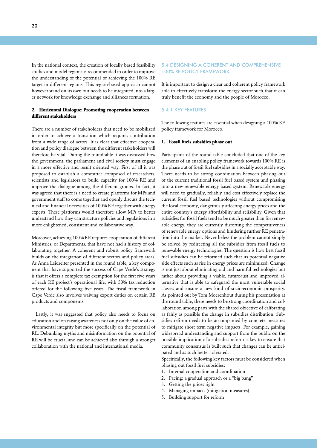<span id="page-19-0"></span>In the national context, the creation of locally based feasibility studies and model regions is recommended in order to improve the understanding of the potential of achieving the 100% RE target in different regions. This region-based approach cannot however stand on its own but needs to be integrated into a larger network for knowledge exchange and alliances formation.

## **2. Horizontal Dialogue: Promoting cooperation between different stakeholders**

There are a number of stakeholders that need to be mobilized in order to achieve a transition which requires contribution from a wide range of actors. It is clear that effective cooperation and policy dialogue between the different stakeholders will therefore be vital. During the roundtable it was discussed how the government, the parliament and civil society must engage in a more effective and result oriented way. First of all it was proposed to establish a committee composed of researchers, scientists and legislators to build capacity for 100% RE and improve the dialogue among the different groups. In fact, it was agreed that there is a need to create platforms for MPs and government staff to come together and openly discuss the technical and financial necessities of 100% RE together with energy experts. These platforms would therefore allow MPs to better understand how they can structure policies and regulations in a more enlightened, consistent and collaborative way.

Moreover, achieving 100% RE requires cooperation of different Ministries, or Departments, that have not had a history of collaborating together. A coherent and robust policy framework builds on the integration of different sectors and policy areas. As Anna Leidreiter presented in the round table, a key component that have supported the success of Cape Verde's strategy is that it offers a complete tax exemption for the first five years of each RE project's operational life, with 50% tax reduction offered for the following five years. The fiscal framework in Cape Verde also involves waiving export duties on certain RE products and components.

 Lastly, it was suggested that policy also needs to focus on education and on raising awareness not only on the value of environmental integrity but more specifically on the potential of RE. Debunking myths and misinformation on the potential of RE will be crucial and can be achieved also through a stronger collaboration with the national and international media.

#### 5.4 DESIGNING A COHERENT AND COMPREHENSIVE 100% RE POLICY FRAMEWORK

It is important to design a clear and coherent policy framework able to effectively transform the energy sector such that it can truly benefit the economy and the people of Morocco.

#### 5.4.1 KEY FEATURES

The following features are essential when designing a 100% RE policy framework for Morocco.

#### **1. Fossil fuels subsidies phase out**

Participants of the round table concluded that one of the key elements of an enabling policy framework towards 100% RE is the phase out of fossil fuel subsidies in a socially acceptable way. There needs to be strong coordination between phasing out of the current traditional fossil fuel based system and phasing into a new renewable energy based system. Renewable energy will need to gradually, reliably and cost effectively replace the current fossil fuel based technologies without compromising the local economy, dangerously affecting energy prices and the entire country´s energy affordability and reliability. Given that subsidies for fossil fuels tend to be much greater than for renewable energy, they are currently distorting the competitiveness of renewable energy options and hindering further RE penetration into the market. Nevertheless the problem cannot simply be solved by redirecting all the subsidies from fossil fuels to renewable energy technologies. The question is how best fossil fuel subsidies can be reformed such that its potential negative side effects such as rise in energy prices are minimized. Change is not just about eliminating old and harmful technologies but rather about providing a viable, future-just and improved alternative that is able to safeguard the most vulnerable social classes and ensure a new kind of socio-economic prosperity. As pointed out by Tom Moerenhout during his presentation at the round table, there needs to be strong coordination and collaboration among parts with the shared objective of calibrating as fairly as possible the change in subsidies distribution. Subsidies reform needs to be accompanied by concrete measures to mitigate short term negative impacts. For example, gaining widespread understanding and support from the public on the possible implication of a subsidies reform is key to ensure that community consensus is built such that changes can be anticipated and as such better tolerated.

Specifically, the following key factors must be considered when phasing out fossil fuel subsidies:

- 1. Internal cooperation and coordination
- 2. Pacing: a gradual approach or a "big bang"
- 3. Getting the prices right
- 4. Managing impacts (mitigation measures)
- 5. Building support for reform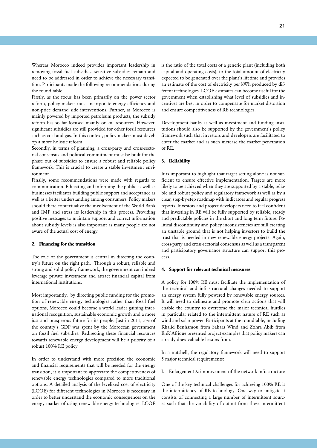Whereas Morocco indeed provides important leadership in removing fossil fuel subsidies, sensitive subsidies remain and need to be addressed in order to achieve the necessary transition. Participants made the following recommendations during the round table.

Firstly, as the focus has been primarily on the power sector reform, policy makers must incorporate energy efficiency and non-price demand side interventions. Further, as Morocco is mainly powered by imported petroleum products, the subsidy reform has so far focused mainly on oil resources. However, significant subsidies are still provided for other fossil resources such as coal and gas. In this context, policy makers must develop a more holistic reform.

Secondly, in terms of planning, a cross-party and cross-sectorial consensus and political commitment must be built for the phase out of subsidies to ensure a robust and reliable policy framework. This is crucial to create a stable investment environment.

Finally, some recommendations were made with regards to communication. Educating and informing the public as well as businesses facilitates building public support and acceptance as well as a better understanding among consumers. Policy makers should there contextualize the involvement of the World Bank and IMF and stress its leadership in this process. Providing positive messages to maintain support and correct information about subsidy levels is also important as many people are not aware of the actual cost of energy.

#### **2. Financing for the transition**

The role of the government is central in directing the country´s future on the right path. Through a robust, reliable and strong and solid policy framework, the government can indeed leverage private investment and attract financial capital from international institutions.

Most importantly, by directing public funding for the promotion of renewable energy technologies rather than fossil fuel options, Morocco could become a world leader gaining international recognition, sustainable economic growth and a more just and prosperous future for its people. Just in 2011, 5% of the country´s GDP was spent by the Moroccan government on fossil fuel subsidies. Redirecting these financial resources towards renewable energy development will be a priority of a robust 100% RE policy.

In order to understand with more precision the economic and financial requirements that will be needed for the energy transition, it is important to appreciate the competitiveness of renewable energy technologies compared to more traditional options. A detailed analysis of the levelized cost of electricity (LCOE) for different technologies in Morocco is necessary in order to better understand the economic consequences on the energy market of using renewable energy technologies. LCOE

is the ratio of the total costs of a generic plant (including both capital and operating costs), to the total amount of electricity expected to be generated over the plant's lifetime and provides an estimate of the cost of electricity per kWh produced by different technologies. LCOE estimates can become useful for the government when establishing what level of subsidies and incentives are best in order to compensate for market distortion and ensure competitiveness of RE technologies.

Development banks as well as investment and funding institutions should also be supported by the government`s policy framework such that investors and developers are facilitated to enter the market and as such increase the market penetration of RE.

#### **3. Reliability**

It is important to highlight that target setting alone is not sufficient to ensure effective implementation. Targets are more likely to be achieved when they are supported by a stable, reliable and robust policy and regulatory framework as well as by a clear, step-by-step roadmap with indicators and regular progress reports. Investors and project developers need to feel confident that investing in RE will be fully supported by reliable, steady and predictable policies in the short and long term future. Political discontinuity and policy inconsistencies are still creating an unstable ground that is not helping investors to build the trust that is needed in new renewable energy projects. Again, cross-party and cross-sectorial consensus as well as a transparent and participatory governance structure can support this process.

#### **4. Support for relevant technical measures**

A policy for 100% RE must facilitate the implementation of the technical and infrastructural changes needed to support an energy system fully powered by renewable energy sources. It will need to delineate and promote clear actions that will enable the country to overcome the major technical hurdles in particular related to the intermittent nature of RE such as wind and solar power. Participants at the roundtable, including Khalid Benhamou from Sahara Wind and Zohra Abib from EnR`Afrique presented project examples that policy makers can already draw valuable lessons from.

In a nutshell, the regulatory framework will need to support 5 major technical requirements:

I. Enlargement & improvement of the network infrastructure

One of the key technical challenges for achieving 100% RE is the intermittency of RE technology. One way to mitigate it consists of connecting a large number of intermittent sources such that the variability of output from these intermittent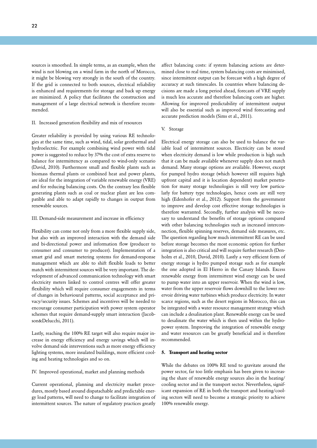22

sources is smoothed. In simple terms, as an example, when the wind is not blowing on a wind farm in the north of Morocco, it might be blowing very strongly in the south of the country. If the grid is connected to both sources, electrical reliability is enhanced and requirements for storage and back up energy are minimized. A policy that facilitates the construction and management of a large electrical network is therefore recommended.

#### II. Increased generation flexibility and mix of resources

Greater reliability is provided by using various RE technologies at the same time, such as wind, tidal, solar geothermal and hydroelectric. For example combining wind power with tidal power is suggested to reduce by 37% the cost of extra reserve to balance for intermittency as compared to wind-only scenario (David, 2010). Furthermore small and flexible plants such as biomass thermal plants or combined heat and power plants, are ideal for the integration of variable renewable energy (VRE) and for reducing balancing costs. On the contrary less flexible generating plants such as coal or nuclear plant are less compatible and able to adapt rapidly to changes in output from renewable sources.

#### III. Demand-side measurement and increase in efficiency

Flexibility can come not only from a more flexible supply side, but also with an improved interaction with the demand side and bi-directional power and information flow (producer to consumer and consumer to producer). Implementation of a smart grid and smart metering systems for demand-response management which are able to shift flexible loads to better match with intermittent sources will be very important. The development of advanced communication technology with smart electricity meters linked to control centres will offer greater flexibility which will require consumer engagements in terms of changes in behavioural patterns, social acceptance and privacy/security issues. Schemes and incentives will be needed to encourage consumer participation with power system operator schemes that require demand-supply smart interaction (Jacobson&Delucchi, 2011).

Lastly, reaching the 100% RE target will also require major increase in energy efficiency and energy savings which will involve demand side interventions such as more energy efficiency lighting systems, more insulated buildings, more efficient cooling and heating technologies and so on.

IV. Improved operational, market and planning methods

Current operational, planning and electricity market procedures, mostly based around dispatachable and predictable energy load patterns, will need to change to facilitate integration of intermittent sources. The nature of regulatory practices greatly

affect balancing costs: if system balancing actions are determined close to real time, system balancing costs are minimised, since intermittent output can be forecast with a high degree of accuracy at such timescales. In countries where balancing decisions are made a long period ahead, forecasts of VRE supply is much less accurate and therefore balancing costs are higher. Allowing for improved predictability of intermittent output will also be essential such as improved wind forecasting and accurate prediction models (Sims et al., 2011).

#### V. Storage

Electrical energy storage can also be used to balance the variable load of intermittent sources. Electricity can be stored when electricity demand is low while production is high such that it can be made available whenever supply does not match demand. Many storage options are available. However, except for pumped hydro storage (which however still requires high upfront capital and it is location dependent) market penetration for many storage technologies is still very low particularly for battery type technologies, hence costs are still very high (Edenhofer et al., 2012). Support from the government to improve and develop cost effective storage technologies is therefore warranted. Secondly, further analysis will be necessary to understand the benefits of storage options compared with other balancing technologies such as increased interconnection, flexible spinning reserves, demand side measures, etc. The question regarding how much intermittent RE can be used before storage becomes the most economic option for further integration is also critical and will require further research (Denholm et al., 2010, David, 2010). Lastly a very efficient form of energy storage is hydro pumped storage such as for example the one adopted in El Hierro in the Canary Islands. Excess renewable energy from intermittent wind energy can be used to pump water into an upper reservoir. When the wind is low, water from the upper reservoir flows downhill to the lower reservoir driving water turbines which produce electricity. In water scarce regions, such as the desert regions in Morocco, this can be integrated with a water resource management strategy which can include a desalination plant. Renewable energy can be used to desalinate the water which is then used within the hydropower system. Improving the integration of renewable energy and water resources can be greatly beneficial and is therefore recommended.

#### **5. Transport and heating sector**

While the debates on 100% RE tend to gravitate around the power sector, far too little emphasis has been given to increasing the share of renewable energy sources also in the heating/ cooling sector and in the transport sector. Nevertheless, significant expansion of RE in both the transport and heating/cooling sectors will need to become a strategic priority to achieve 100% renewable energy.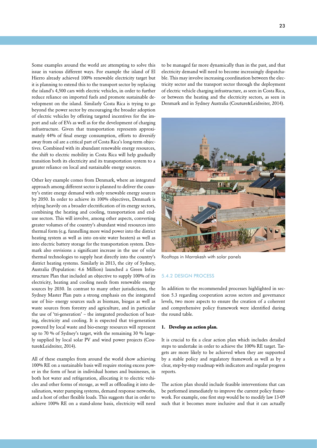<span id="page-22-0"></span>Some examples around the world are attempting to solve this issue in various different ways. For example the island of El Hierro already achieved 100% renewable electricity target but it is planning to extend this to the transport sector by replacing the island's 4,500 cars with electric vehicles, in order to further reduce reliance on imported fuels and promote sustainable development on the island. Similarly Costa Rica is trying to go beyond the power sector by encouraging the broader adoption of electric vehicles by offering targeted incentives for the import and sale of EVs as well as for the development of charging infrastructure. Given that transportation represents approximately 44% of final energy consumption, efforts to diversify away from oil are a critical part of Costa Rica's long-term objectives. Combined with its abundant renewable energy resources, the shift to electric mobility in Costa Rica will help gradually transition both its electricity and its transportation system to a greater reliance on local and sustainable energy sources.

Other key example comes from Denmark, where an integrated approach among different sector is planned to deliver the country's entire energy demand with only renewable energy sources by 2050. In order to achieve its 100% objectives, Denmark is relying heavily on a broader electrification of its energy sectors, combining the heating and cooling, transportation and enduse sectors. This will involve, among other aspects, converting greater volumes of the country's abundant wind resources into thermal form (e.g. funnelling more wind power into the district heating system as well as into on-site water heaters) as well as into electric battery storage for the transportation system. Denmark also envisions a significant increase in the use of solar thermal technologies to supply heat directly into the country's district heating systems. Similarly in 2013, the city of Sydney, Australia (Population: 4.6 Million) launched a Green Infrastructure Plan that included an objective to supply 100% of its electricity, heating and cooling needs from renewable energy sources by 2030. In contrast to many other jurisdictions, the Sydney Master Plan puts a strong emphasis on the integrated use of bio- energy sources such as biomass, biogas as well as waste sources from forestry and agriculture, and in particular the use of 'tri-generation' – the integrated production of heating, electricity and cooling. It is expected that tri-generation powered by local waste and bio-energy resources will represent up to 70 % of Sydney's target, with the remaining 30 % largely supplied by local solar PV and wind power projects (Couture&Leidreiter, 2014).

All of these examples from around the world show achieving 100% RE on a sustainable basis will require storing excess power in the form of heat in individual homes and businesses, in both hot water and refrigeration, allocating it to electric vehicles and other forms of storage, as well as offloading it into desalination, water pumping systems, demand response networks, and a host of other flexible loads. This suggests that in order to achieve 100% RE on a stand-alone basis, electricity will need

to be managed far more dynamically than in the past, and that electricity demand will need to become increasingly dispatchable. This may involve increasing coordination between the electricity sector and the transport sector through the deployment of electric vehicle charging infrastructure, as seen in Costa Rica, or between the heating and the electricity sectors, as seen in Denmark and in Sydney Australia (Couture&Leidreiter, 2014).



Rooftops in Marrakesh with solar panels

#### 5.4.2 DESIGN PROCESS

In addition to the recommended processes highlighted in section 5.3 regarding cooperation across sectors and governance levels, two more aspects to ensure the creation of a coherent and comprehensive policy framework were identified during the round table.

#### **1. Develop an action plan.**

It is crucial to fix a clear action plan which includes detailed steps to undertake in order to achieve the 100% RE target. Targets are more likely to be achieved when they are supported by a stable policy and regulatory framework as well as by a clear, step-by-step roadmap with indicators and regular progress reports.

The action plan should include feasible interventions that can be performed immediately to improve the current policy framework. For example, one first step would be to modify law 13-09 such that it becomes more inclusive and that it can actually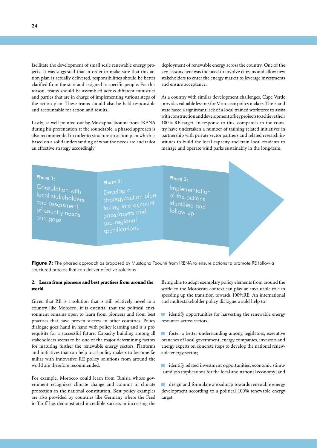facilitate the development of small scale renewable energy projects. It was suggested that in order to make sure that this action plan is actually delivered, responsibilities should be better clarified from the start and assigned to specific people. For this reason, teams should be assembled across different ministries and parties that are in charge of implementing various steps of the action plan. These teams should also be held responsible and accountable for action and results.

Lastly, as well pointed out by Mustapha Taoumi from IRENA during his presentation at the roundtable, a phased approach is also recommended in order to structure an action plan which is based on a solid understanding of what the needs are and tailor an effective strategy accordingly.

deployment of renewable energy across the country. One of the key lessons here was the need to involve citizens and allow new stakeholders to enter the energy market to leverage investments and ensure acceptance.

As a country with similar development challenges, Cape Verde provides valuable lessons for Moroccan policy makers. The island state faced a significant lack of a local trained workforce to assist with construction and development of key projects to achieve their 100% RE target. In response to this, companies in the country have undertaken a number of training related initiatives in partnership with private sector partners and related research institutes to build the local capacity and train local residents to manage and operate wind parks sustainably in the long-term.

## Phase 1:

Consulation with local stakeholders and assessment of country needs and gaps

Phase 2: strategy/action plan taking into account gaps/assets and sub-regional

Implementation of the actions identified and follow up

Phase 3:

Figure 7: The phased approach as proposed by Mustapha Taoumi from IRENA to ensure actions to promote RE follow a structured process that can deliver effective solutions

## **2. Learn from pioneers and best practises from around the world**

Given that RE is a solution that is still relatively novel in a country like Morocco, it is essential that the political environment remains open to learn from pioneers and from best practises that have proven success in other countries. Policy dialogue goes hand in hand with policy learning and is a prerequisite for a successful future. Capacity building among all stakeholders seems to be one of the major determining factors for maturing further the renewable energy sectors. Platforms and initiatives that can help local policy makers to become familiar with innovative RE policy solutions from around the world are therefore recommended.

For example, Morocco could learn from Tunisia whose government recognizes climate change and commit to climate protection in the national constitution. Best policy examples are also provided by countries like Germany where the Feed in Tariff has demonstrated incredible success in increasing the

Being able to adapt exemplary policy elements from around the world to the Moroccan context can play an invaluable role in speeding up the transition towards 100%RE. An international and multi-stakeholder policy dialogue would help to:

**I** identify opportunities for harvesting the renewable energy resources across sectors;

foster a better understanding among legislators, executive branches of local government, energy companies, investors and energy experts on concrete steps to develop the national renewable energy sector;

**I** identify related investment opportunities, economic stimuli and job implications for the local and national economy; and

design and formulate a roadmap towards renewable energy development according to a political 100% renewable energy target.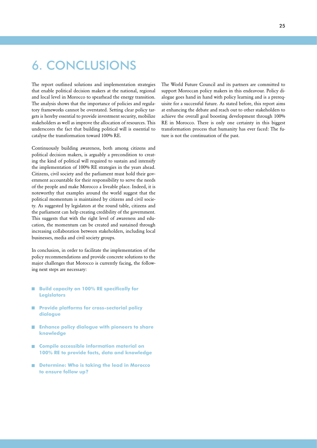# <span id="page-24-0"></span>6. CONCLUSIONS

The report outlined solutions and implementation strategies that enable political decision makers at the national, regional and local level in Morocco to spearhead the energy transition. The analysis shows that the importance of policies and regulatory frameworks cannot be overstated. Setting clear policy targets is hereby essential to provide investment security, mobilize stakeholders as well as improve the allocation of resources. This underscores the fact that building political will is essential to catalyse the transformation toward 100% RE.

Continuously building awareness, both among citizens and political decision makers, is arguably a precondition to creating the kind of political will required to sustain and intensify the implementation of 100% RE strategies in the years ahead. Citizens, civil society and the parliament must hold their government accountable for their responsibility to serve the needs of the people and make Morocco a liveable place. Indeed, it is noteworthy that examples around the world suggest that the political momentum is maintained by citizens and civil society. As suggested by legislators at the round table, citizens and the parliament can help creating credibility of the government. This suggests that with the right level of awareness and education, the momentum can be created and sustained through increasing collaboration between stakeholders, including local businesses, media and civil society groups.

In conclusion, in order to facilitate the implementation of the policy recommendations and provide concrete solutions to the major challenges that Morocco is currently facing, the following next steps are necessary:

- **Build capacity on 100% RE specifically for Legislators**
- **Provide platforms for cross-sectorial policy dialogue**
- **Enhance policy dialogue with pioneers to share knowledge**
- **Compile accessible information material on 100% RE to provide facts, data and knowledge**
- Determine: Who is taking the lead in Morocco **to ensure follow up?**

The World Future Council and its partners are committed to support Moroccan policy makers in this endeavour. Policy dialogue goes hand in hand with policy learning and is a prerequisite for a successful future. As stated before, this report aims at enhancing the debate and reach out to other stakeholders to achieve the overall goal boosting development through 100% RE in Morocco. There is only one certainty in this biggest transformation process that humanity has ever faced: The future is not the continuation of the past.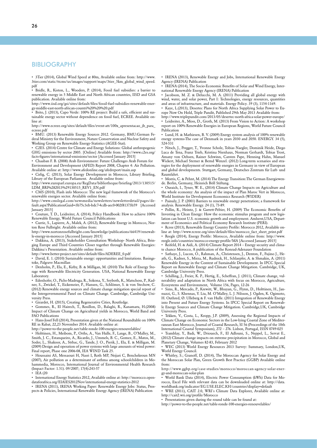## <span id="page-25-0"></span>BIBLIOGRAPHY

• 3Tier (2014), Global Wind Speed at 80m, Available online from: http://www. 3tier.com/static/ttcms/us/images/support/maps/3tier\_5km\_global\_wind\_speed. pdf

• Bridle, R., Kiston, L., Wooders, P. (2014), Fossil fuel subsidies: a barrier to renewable energy in 5 Middle East and North African countries, IISD and GSA publication. Available online from:

http://www.iisd.org/gsi/sites/default/files/fossil-fuel-subsidies-renewable-energy-middle-east-north-african-countri%20%20%20.pdf

• Brito, J. (2013), Capo Verde: 100% RE project: Build a safe, efficient and sustainable energy sector without dependence on fossil fuel, ECREE. Available online at:

http://www.ecreee.org/sites/default/files/event-att/100x\_apresentacao\_jb\_para\_ ecreee.pdf

• BMU. (2013) Renewable Energy Sources 2012. Germany, BMU:German Federal Ministry for the Environment, Nature Conservation and Nuclear Safety and Working Group on Renewable Energy-Statistics (AGEE-Stat).

• C2ES. (2014) Centre for Climate and Energy Solutions: Global anthropogenic GHG emissions by sector 2005. [Online] Available from: http://www.c2es.org/ facts-figures/international-emissions/sector [Accessed January 2015]

• Chaaban F. B. (2008) Arab Environment: Future Challenges Arab Forum for Environment and Development (AFED) Report 2008, Chapter 4: Air Pollution. Available online at: http://www.afedonline.org/afedreport/main.asp

• Cirlig, C. (2013), Solar Energy Development in Morocco, Library Briefing, Library of the European Parliament. Available online from:

http://www.europarl.europa.eu/RegData/bibliotheque/briefing/2013/130515/ LDM\_BRI%282013%29130515\_REV1\_EN.pdf

• CMS (2010), Flash info Morocco: The new legal framework of the Morocco's renewable energies sector. Available online from:

http://www.cmslegal.com/newsmedia/newsletters/newsletterdetail/pages/default.aspx?PublicationGuid=3b75c3eb-bdc7-4cdb-aec0-002f81373b59 [Accessed January 2015]

• Couture, T. D., Leidreiter, A. (2014), Policy Handbook: How to achieve 100% Renewable Energy, World Future Council Publications

• Currie, S., Lapierre, A., Malek, A. (2012), Renewable Energy in Morocco, Norton Rose Fulbright. Available online from:

http://www.nortonrosefulbright.com/knowledge/publications/66419/renewable-energy-in-morocco [Accessed January 2015]

• Dakkina, A. (2013), Stakeholder Consultation Workshop- North Africa, Bringing Europe and Third Countries Closer together through Renewable Energies: Dakkina´s Presentation. Available online from:

http://www.better-project.net/sites/default/files/ADEREE\_0.pdf

• David, E. 1. (2010) Sustainable energy: opportunities and limitations. Basingstoke, Palgrave Macmillan

• Denholm, P., Ela, E., Kirby, B. & Milligan, M. (2010) The Role of Energy Storage with Renewable Electricity Generation. USA, National Renewable Energy Laboratory.

• Edenhofer, O., Pichs-Madruga, R., Sokona, Y., Seyboth, K., Matschoss, P., Kadner, S., Zwickel, T., Eickemeier, P., Hansen, G., Schlömer, S. & von Stechow, C. (2012) Renewable energy sources and climate change mitigation special report of the Intergovernmental Panel on Climate Change. Cambridge, Cambridge University Press.

• Girardet, H. (2015), Creating Regenerative Cities, Routledge.

• Gommes, R., El Hairech, T., Rosillon, D., Balaghi, R., Kanamaru, H.(2008) Impact of Climate Change on Agricultural yields in Morocco, World Band and FAO Publications

• Hans-Josef Fell (2014), Presentation given at the National Roundtable on 100% RE in Rabat, 22,23 November 2014. Available online at:

http://power-to-the-people.net/table-ronde-100-energies-renouvelables/

• Holttinen, H., Meibom, P., Orths, A., Van Hulle, F., Lange, B., O'Malley, M., Smith, J. C., Estanqueiro, A., Ricardo, J., Ummels, B. C., Gomez, E., Matos, M., Soder, L., Shakoor, A., Strbac, G., Tande, J. O., Pierik, J., Ela, E. & Milligan, M. (2009) Design and operation of power systems with large amounts of wind power: Final report, Phase one 2006-08, IEA WIND Task 25.

• Houssaini AS, Messaouri H, Nasri I, Roth MP, Nejjari C, Benchekroun MN (2007), Air pollution as a determinant of asthma among schoolchildren in Mohammedia, Morocco, International Journal of Environmental Health Research (Impact Factor: 1.51). 09/2007; 17(4):243-57

• IEA (20

• International Energy Statistics 2012, Available online at: http://morocco.opendataforafrica.org/EIAIES2012Nov/international-energy-statistics-2012

• IRENA (2011), IRENA Working Paper: Renewable Energy Jobs: Status, Prospects & Policies, International Renewable Energy Agency (IRENA) Publication

• IRENA (2013), Renewable Energy and Jobs, International Renewable Energy Agency (IRENA) Publication

• IRENA (2014), The Socio-Economic Benefits of Solar and Wind Energy, International Renewable Energy Agency (IRENA) Publication

• Jacobson, M. Z. & Delucchi, M. A. (2011) Providing all global energy with wind, water, and solar power, Part I: Technologies, energy resources, quantities and areas of infrastructure, and materials. Energy Policy. 39 (3), 1154-1169.

• Kaye, L.(2013), Desertec Plans for North Africa Supplying Solar Power to Europe Now On Hold, Triple Pundit, Published 29th May 2013 Available from: http://www.triplepundit.com/2013/05/desertec-north-africa-solar-power-europe/

• Leidreiter, A., Moss, D., Groth, M. (2013) From Vision to Action: A workshop report on 100% Renewable Energies in European Regions, World Future Council Publication

• Lund, H. & Mathiesen, B. V. (2009) Energy system analysis of 100% renewable energy systems-The case of Denmark in years 2030 and 2050. ENERGY. 34 (5), 524-531

• Nitsch, J., Pregger, T., Yvonne Scholz, Tobias Naegler, Dominik Heide, Diego Luca de Tena, Franz Trieb, Kristina Nienhaus, Norman Gerhardt, Tobias Trost, Amany von Oehsen, Rainer Schwinn, Carsten Pape, Henning Hahn, Manuel Wickert, Michael Sterner & Bernd Wenzel. (2012) Long-term scenarios and strategies for the deployment of renewable energies in Germany in view of European and global developments. Stuttgart, Germany, Deutsches Zentrum für Luft- und Raumfahrt.

• Morris, C. & Pehnt, M. (2014) The Energy Transition:The German Energiewende. Berlin, Germany, Heinrich Böll Stiftung.

• Ouraich, I., Tyner, W. E., (2014) Climate Change Impacts on Agriculture and the whole economy: An analysis of the impact of Plan Maroc Vert in Morocco, World Institute for Development Economics Research (WIDER)

• Painuly, J. P. (2001) Barriers to renewable energy penetration; a framework for analysis. Renewable Energy. 24 (1), 73-89.

• Pollin, R., Heintz, J. & Garrett-Peltier, H. (2009) The Economic Benefits of Investing in Clean Energy: How the economic stimulus program and new legislation can boost U.S. economic growth and employment. Amherst,USA, Department of Economics and Political Economy Research Institute (PERI).

• Rcree (2013), Renewable Energy Country Profile: Morocco 2012, Available online at: http://www.rcreee.org/sites/default/files/morocco\_fact\_sheet\_print.pdf

Reegle (2014), Energy Profile: Morocco, Available online from: http://www. reegle.info/countries/morocco-energy-profile/MA [Accessed January 2015]

• Reifeld, H. & Aidi, A. (2014) Climate Report 2014 – Energy security and climate chance Morocco, A publication of the Konrad-Adenauer Foundation

• Sathaye, J., Lucon, O., Rahman, A., Christensen, J., Denton, F., Fujino J., Heath, G., Kadner, S., Mirza, M., Rudnick, H., Schlaepfer, A. & Shmakin, A. (2011) Renewable Energy in the Context of Sustainable Development. In IPCC Special Report on Renewable Energy and Climate Change Mitigation. Cambridge, UK, Cambridge University Press.

• Schilling, J., Freier, K. P., Hertig, E., Scheffran, J. (2011), Climate change, vulnerability and adaptation in North Africa with focus on Morocco, Agriculture, Ecosystems and Environment, Volume 156, Pages, 12-26

• Sims, R., Mercado, P., Krewitt, W., Bhuyan, G., Flynn, D., Holttinen, H., Jannuzzi, G., S. Khennas, Y. Liu, M. O'Malley, L. J. Nilsson, J. Ogden, K. Ogimoto, H. Outhred, Ø. Ulleberg & F. van Hulle. (2011) Integration of Renewable Energy into Present and Future Energy Systems. In IPCC Special Report on Renewable Energy Sources and Climate Change Mitigation. Cambridge,UK, Cambridge University Press.

• Tekken, V., Costa, L., Kropp, J.P. (2009), Assessing the Regional Impacts of Climate Change on Economic Sectors in the Low-lying Coastal Zone of Mediterranean East Morocco, Journal of Coastal Research, SI 56 (Proceedings of the 10th International Coastal Symposium), 272 – 276. Lisbon, Portugal, ISSN 0749-025

• Tramblay, Y., Badi, W., Driouech, F., El Adlouni, S., Neppel, L., Servat E., (2012) Climate change impacts on extreme precipitation in Morocco, Global and Planetary Change, Volumes 82-83, February 2012

• WEC (2013) World Energy Resources 2013 Survey: Summary, London,UK, World Energy Council.

Whitley, S.; Granoff, D. (2014), The Moroccan Agency for Solar Energy and the Moroccan Solar Plan, Green Growth Best Practice (GGBP) Available online from:

http://www.ggbp.org/case-studies/morocco/moroccan-agency-solar-energy-and-moroccan-solar-plan

• World Bank Data (2014), Electric Power Consumption (kWh) Data for Morocco, Excel File with relevant data can be downloaded online at: http://data. worldbank.org/indicator/EG.USE.ELEC.KH/countries?display=default

• WRE (2011), CAIT 2.0, WRI´s Climate Data Explorer, Available online at: http://cait2.wri.org/profile/Morocco

• Presentations given during the round table can be found at:

http://power-to-the-people.net/table-ronde-100-energies-renouvelables/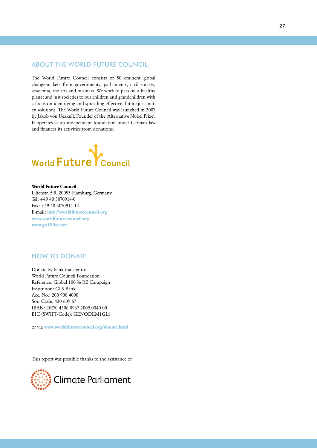## <span id="page-26-0"></span>ABOUT THE WORLD FUTURE COUNCIL

The World Future Council consists of 50 eminent global change-makers from governments, parliaments, civil society, academia, the arts and business. We work to pass on a healthy planet and just societies to our children and grandchildren with a focus on identifying and spreading effective, future-just policy solutions. The World Future Council was launched in 2007 by Jakob von Uexkull, Founder of the 'Alternative Nobel Prize'. It operates as an independent foundation under German law and finances its activities from donations.



## **World Future Council**

Lilienstr. 5-9, 20095 Hamburg, Germany Tel: +49 40 3070914-0 Fax: +49 40 3070914-14 E-mail: **[info@worldfuturecouncil.org](mailto:info%40worldfuturecouncil.org?subject=) <www.worldfuturecouncil.org> <www.go100re.net>**

## HOW TO DONATE

Donate by bank transfer to: World Future Council Foundation Reference: Global 100 % RE Campaign Institution: GLS Bank Acc. No.: 200 900 4000 Sort Code: 430 609 67 IBAN: DE70 4306 0967 2009 0040 00 BIC (SWIFT-Code): GENODEM1GLS

or via **<www.worldfuturecouncil.org/donate.html>**

This report was possible thanks to the assistance of